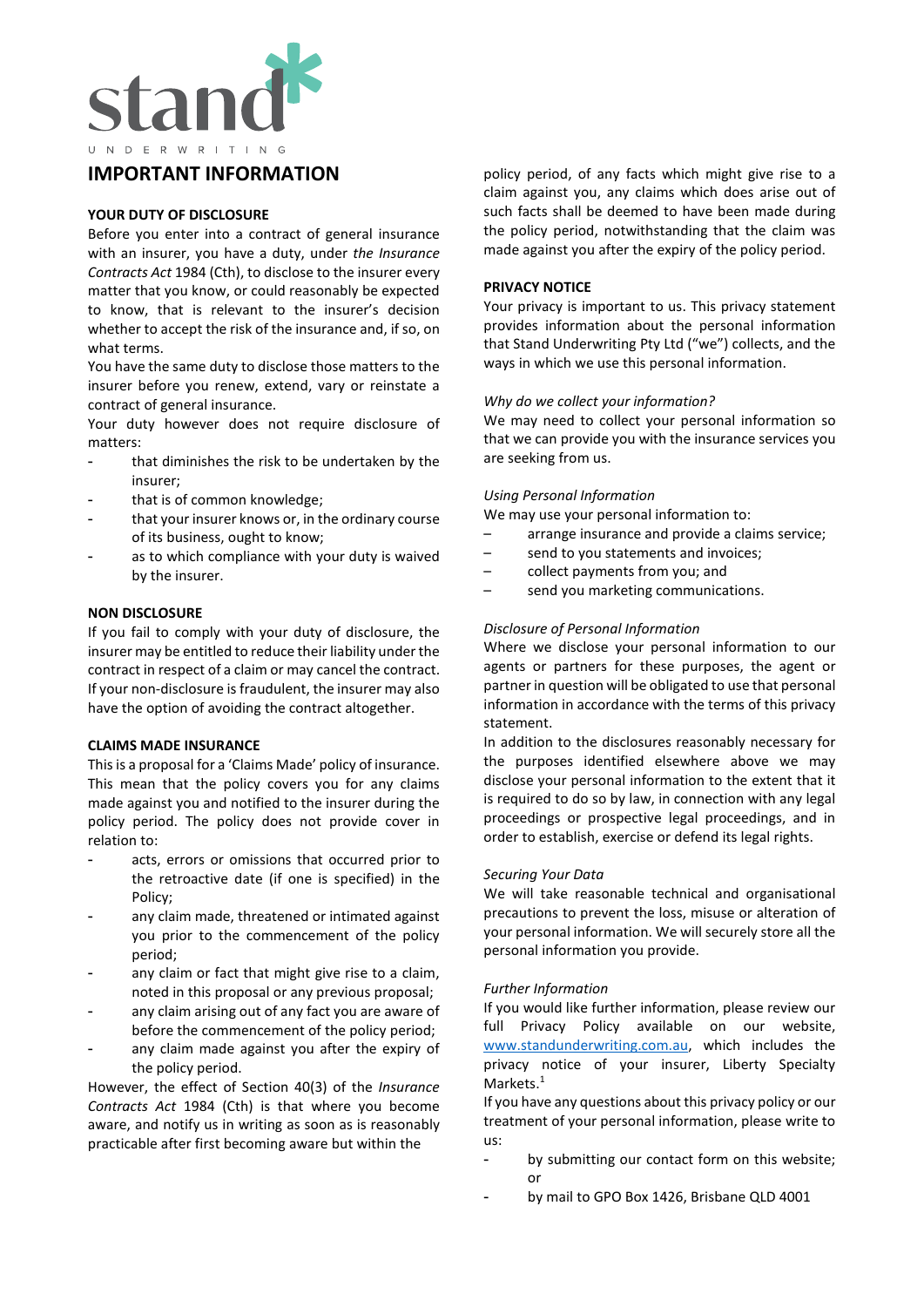

# **IMPORTANT INFORMATION**

#### **YOUR DUTY OF DISCLOSURE**

Before you enter into a contract of general insurance with an insurer, you have a duty, under *the Insurance Contracts Act* 1984 (Cth), to disclose to the insurer every matter that you know, or could reasonably be expected to know, that is relevant to the insurer's decision whether to accept the risk of the insurance and, if so, on what terms.

You have the same duty to disclose those matters to the insurer before you renew, extend, vary or reinstate a contract of general insurance.

Your duty however does not require disclosure of matters:

- that diminishes the risk to be undertaken by the insurer;
- that is of common knowledge;
- that your insurer knows or, in the ordinary course of its business, ought to know;
- as to which compliance with your duty is waived by the insurer.

#### **NON DISCLOSURE**

If you fail to comply with your duty of disclosure, the insurer may be entitled to reduce their liability under the contract in respect of a claim or may cancel the contract. If your non-disclosure is fraudulent, the insurer may also have the option of avoiding the contract altogether.

#### **CLAIMS MADE INSURANCE**

This is a proposal for a 'Claims Made' policy of insurance. This mean that the policy covers you for any claims made against you and notified to the insurer during the policy period. The policy does not provide cover in relation to:

- acts, errors or omissions that occurred prior to the retroactive date (if one is specified) in the Policy;
- any claim made, threatened or intimated against you prior to the commencement of the policy period;
- any claim or fact that might give rise to a claim, noted in this proposal or any previous proposal;
- any claim arising out of any fact you are aware of before the commencement of the policy period;
- any claim made against you after the expiry of the policy period.

However, the effect of Section 40(3) of the *Insurance Contracts Act* 1984 (Cth) is that where you become aware, and notify us in writing as soon as is reasonably practicable after first becoming aware but within the

policy period, of any facts which might give rise to a claim against you, any claims which does arise out of such facts shall be deemed to have been made during the policy period, notwithstanding that the claim was made against you after the expiry of the policy period.

#### **PRIVACY NOTICE**

Your privacy is important to us. This privacy statement provides information about the personal information that Stand Underwriting Pty Ltd ("we") collects, and the ways in which we use this personal information.

#### *Why do we collect your information?*

We may need to collect your personal information so that we can provide you with the insurance services you are seeking from us.

#### *Using Personal Information*

We may use your personal information to:

- arrange insurance and provide a claims service;
- send to you statements and invoices;
- collect payments from you; and
- send you marketing communications.

#### *Disclosure of Personal Information*

Where we disclose your personal information to our agents or partners for these purposes, the agent or partner in question will be obligated to use that personal information in accordance with the terms of this privacy statement.

In addition to the disclosures reasonably necessary for the purposes identified elsewhere above we may disclose your personal information to the extent that it is required to do so by law, in connection with any legal proceedings or prospective legal proceedings, and in order to establish, exercise or defend its legal rights.

#### *Securing Your Data*

We will take reasonable technical and organisational precautions to prevent the loss, misuse or alteration of your personal information. We will securely store all the personal information you provide.

#### *Further Information*

If you would like further information, please review our full Privacy Policy available on our website, [www.standunderwriting.com.au,](http://www.standunderwriting.com.au/) which includes the privacy notice of your insurer, Liberty Specialty Markets.<sup>1</sup>

If you have any questions about this privacy policy or our treatment of your personal information, please write to us:

- by submitting our contact form on this website; or
- by mail to GPO Box 1426, Brisbane QLD 4001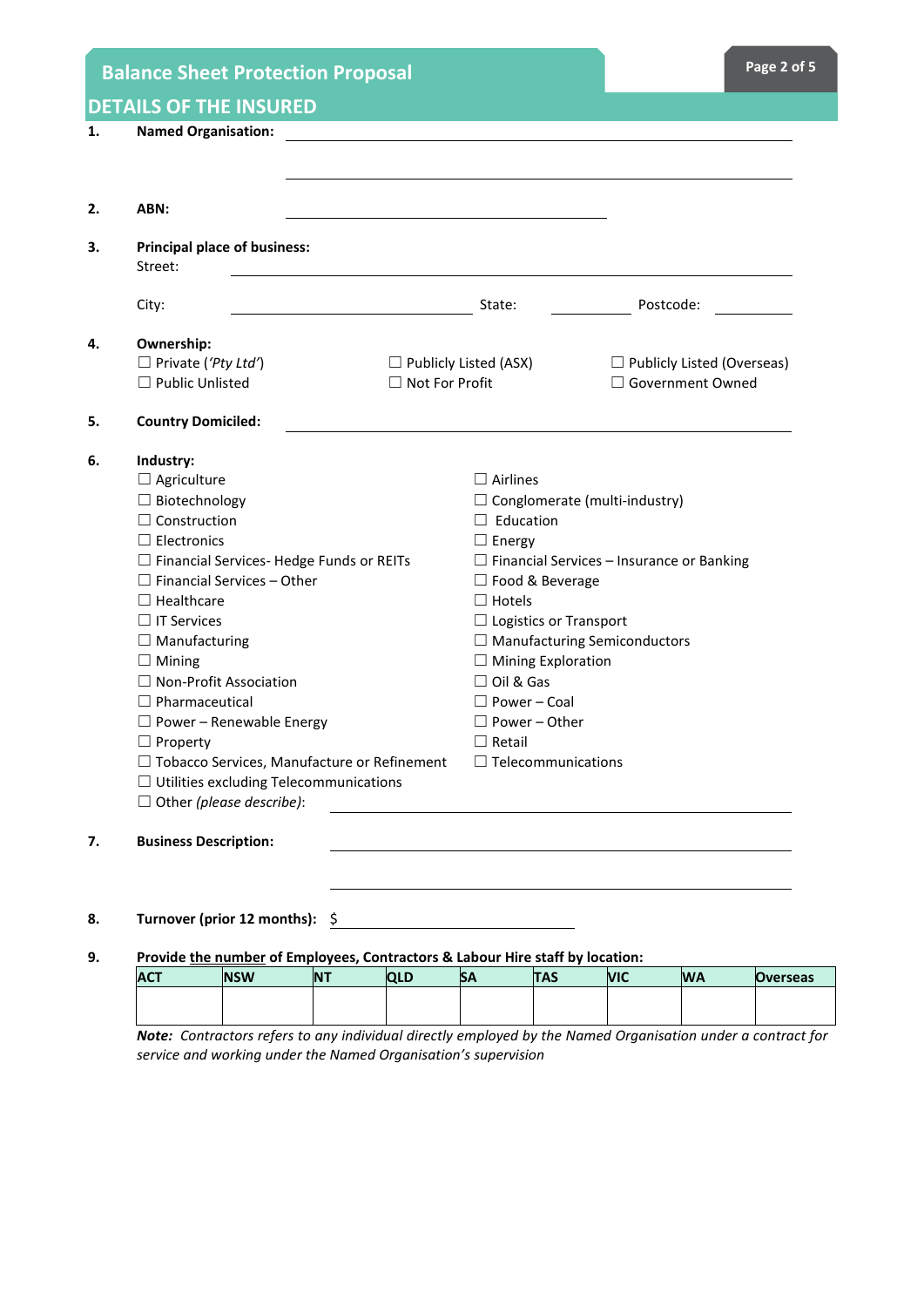|    | <b>Balance Sheet Protection Proposal</b> |                                                                                                                             |           |                                     |                              |                                                  |            |                    | Page 2 of 5                       |
|----|------------------------------------------|-----------------------------------------------------------------------------------------------------------------------------|-----------|-------------------------------------|------------------------------|--------------------------------------------------|------------|--------------------|-----------------------------------|
|    | <b>DETAILS OF THE INSURED</b>            |                                                                                                                             |           |                                     |                              |                                                  |            |                    |                                   |
| 1. | <b>Named Organisation:</b>               |                                                                                                                             |           |                                     |                              |                                                  |            |                    |                                   |
|    |                                          |                                                                                                                             |           |                                     |                              |                                                  |            |                    |                                   |
|    |                                          |                                                                                                                             |           |                                     |                              |                                                  |            |                    |                                   |
| 2. | ABN:                                     |                                                                                                                             |           |                                     |                              |                                                  |            |                    |                                   |
| 3. | Street:                                  | <b>Principal place of business:</b>                                                                                         |           |                                     |                              |                                                  |            |                    |                                   |
|    | City:                                    |                                                                                                                             |           |                                     | State:                       |                                                  |            | Postcode:          |                                   |
| 4. | Ownership:                               |                                                                                                                             |           |                                     |                              |                                                  |            |                    |                                   |
|    | $\Box$ Private ('Pty Ltd')               |                                                                                                                             |           |                                     | $\Box$ Publicly Listed (ASX) |                                                  |            |                    | $\Box$ Publicly Listed (Overseas) |
|    | $\Box$ Public Unlisted                   |                                                                                                                             |           | $\Box$ Not For Profit               |                              |                                                  |            | □ Government Owned |                                   |
| 5. | <b>Country Domiciled:</b>                |                                                                                                                             |           |                                     |                              |                                                  |            |                    |                                   |
| 6. | Industry:                                |                                                                                                                             |           |                                     |                              |                                                  |            |                    |                                   |
|    | $\Box$ Agriculture                       |                                                                                                                             |           |                                     | $\Box$ Airlines              |                                                  |            |                    |                                   |
|    | $\Box$ Biotechnology                     |                                                                                                                             |           |                                     |                              | $\Box$ Conglomerate (multi-industry)             |            |                    |                                   |
|    | $\Box$ Construction                      |                                                                                                                             |           |                                     | $\Box$ Education             |                                                  |            |                    |                                   |
|    | $\Box$ Electronics                       |                                                                                                                             |           |                                     | $\Box$ Energy                |                                                  |            |                    |                                   |
|    |                                          | $\Box$ Financial Services-Hedge Funds or REITs                                                                              |           |                                     |                              | $\Box$ Financial Services - Insurance or Banking |            |                    |                                   |
|    |                                          | $\Box$ Financial Services - Other                                                                                           |           |                                     |                              | □ Food & Beverage                                |            |                    |                                   |
|    | $\Box$ Healthcare                        |                                                                                                                             |           |                                     | $\Box$ Hotels                |                                                  |            |                    |                                   |
|    | $\Box$ IT Services                       |                                                                                                                             |           |                                     |                              | $\Box$ Logistics or Transport                    |            |                    |                                   |
|    | $\Box$ Manufacturing                     |                                                                                                                             |           | $\Box$ Manufacturing Semiconductors |                              |                                                  |            |                    |                                   |
|    | $\Box$ Mining                            |                                                                                                                             |           |                                     |                              | $\Box$ Mining Exploration                        |            |                    |                                   |
|    | $\Box$ Non-Profit Association            |                                                                                                                             |           |                                     | $\Box$ Oil & Gas             |                                                  |            |                    |                                   |
|    | $\Box$ Pharmaceutical                    |                                                                                                                             |           |                                     | $\Box$ Power – Coal          |                                                  |            |                    |                                   |
|    |                                          | $\Box$ Power – Renewable Energy                                                                                             |           |                                     | $\Box$ Power - Other         |                                                  |            |                    |                                   |
|    | $\Box$ Property                          |                                                                                                                             |           |                                     | $\Box$ Retail                |                                                  |            |                    |                                   |
|    |                                          | □ Tobacco Services, Manufacture or Refinement<br>$\Box$ Telecommunications<br>$\Box$ Utilities excluding Telecommunications |           |                                     |                              |                                                  |            |                    |                                   |
|    |                                          | $\Box$ Other (please describe):                                                                                             |           |                                     |                              |                                                  |            |                    |                                   |
|    |                                          |                                                                                                                             |           |                                     |                              |                                                  |            |                    |                                   |
| 7. | <b>Business Description:</b>             |                                                                                                                             |           |                                     |                              |                                                  |            |                    |                                   |
|    |                                          |                                                                                                                             |           |                                     |                              |                                                  |            |                    |                                   |
| 8. |                                          | Turnover (prior 12 months):                                                                                                 | \$        |                                     |                              |                                                  |            |                    |                                   |
| 9. |                                          | Provide the number of Employees, Contractors & Labour Hire staff by location:                                               |           |                                     |                              |                                                  |            |                    |                                   |
|    | <b>ACT</b>                               | <b>NSW</b>                                                                                                                  | <b>NT</b> | <b>QLD</b>                          | <b>SA</b>                    | <b>TAS</b>                                       | <b>VIC</b> | <b>WA</b>          | <b>Overseas</b>                   |
|    |                                          |                                                                                                                             |           |                                     |                              |                                                  |            |                    |                                   |

*Note: Contractors refers to any individual directly employed by the Named Organisation under a contract for service and working under the Named Organisation's supervision*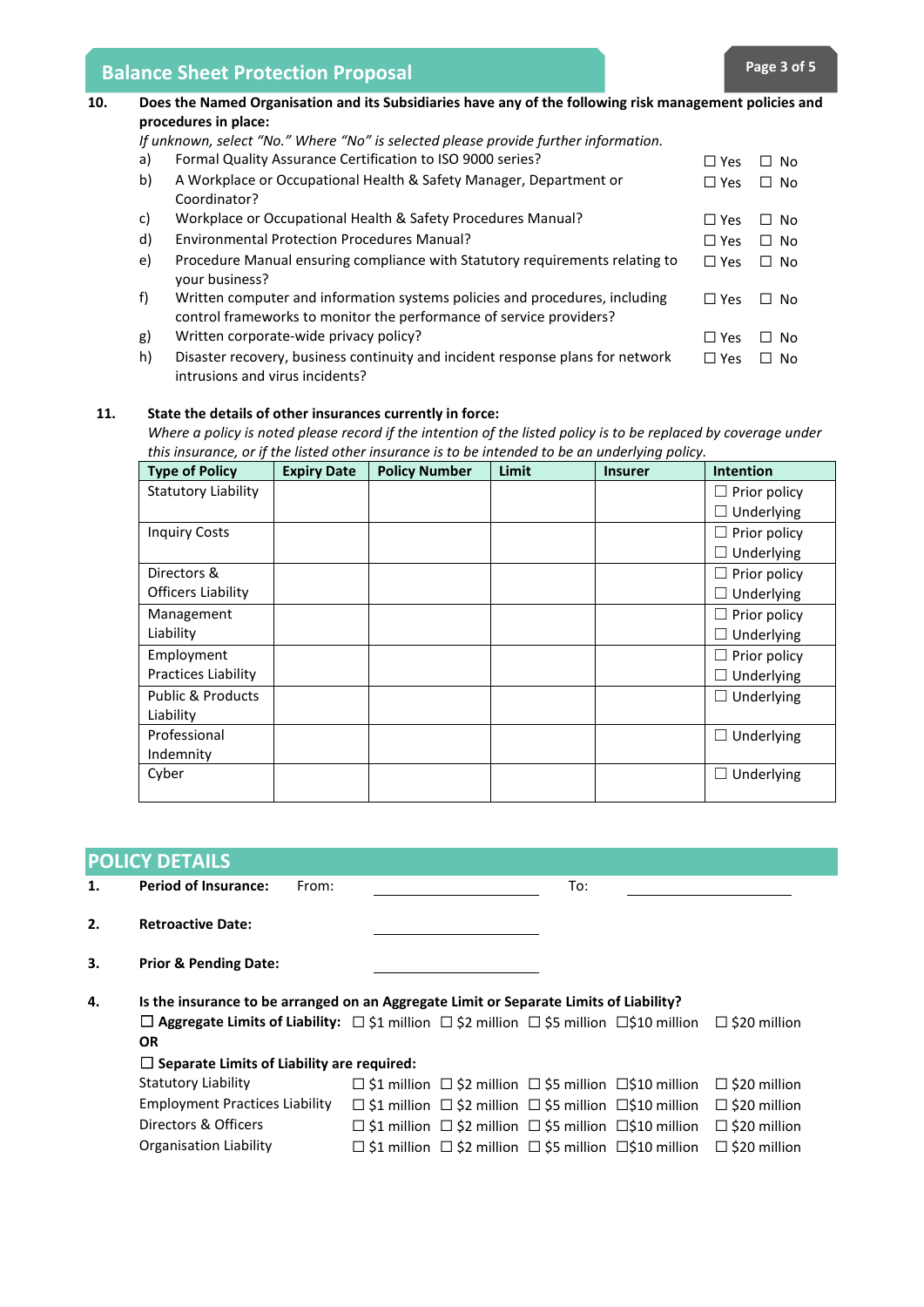# **Balance Sheet Protection Proposal <b>Page 3 Page 3** of 5

| 10. | Does the Named Organisation and its Subsidiaries have any of the following risk management policies and<br>procedures in place:<br>If unknown, select "No." Where "No" is selected please provide further information. |                                                                                                                                                    |            |           |  |  |  |  |  |
|-----|------------------------------------------------------------------------------------------------------------------------------------------------------------------------------------------------------------------------|----------------------------------------------------------------------------------------------------------------------------------------------------|------------|-----------|--|--|--|--|--|
|     |                                                                                                                                                                                                                        |                                                                                                                                                    |            |           |  |  |  |  |  |
|     | a)                                                                                                                                                                                                                     | Formal Quality Assurance Certification to ISO 9000 series?                                                                                         | $\Box$ Yes | $\Box$ No |  |  |  |  |  |
|     | b)                                                                                                                                                                                                                     | A Workplace or Occupational Health & Safety Manager, Department or<br>Coordinator?                                                                 | $\Box$ Yes | $\Box$ No |  |  |  |  |  |
|     | C)                                                                                                                                                                                                                     | Workplace or Occupational Health & Safety Procedures Manual?                                                                                       | $\Box$ Yes | $\Box$ No |  |  |  |  |  |
|     | d)                                                                                                                                                                                                                     | <b>Environmental Protection Procedures Manual?</b>                                                                                                 | $\Box$ Yes | $\Box$ No |  |  |  |  |  |
|     | e)                                                                                                                                                                                                                     | Procedure Manual ensuring compliance with Statutory requirements relating to<br>your business?                                                     | $\Box$ Yes | $\Box$ No |  |  |  |  |  |
|     | f)                                                                                                                                                                                                                     | Written computer and information systems policies and procedures, including<br>control frameworks to monitor the performance of service providers? | $\Box$ Yes | $\Box$ No |  |  |  |  |  |
|     | g)                                                                                                                                                                                                                     | Written corporate-wide privacy policy?                                                                                                             | $\Box$ Yes | $\Box$ No |  |  |  |  |  |
|     | h)                                                                                                                                                                                                                     | Disaster recovery, business continuity and incident response plans for network<br>intrusions and virus incidents?                                  | $\Box$ Yes | $\Box$ No |  |  |  |  |  |

### **11. State the details of other insurances currently in force:**

*Where a policy is noted please record if the intention of the listed policy is to be replaced by coverage under this insurance, or if the listed other insurance is to be intended to be an underlying policy.* 

| <b>Type of Policy</b>        | <b>Expiry Date</b> | <b>Policy Number</b> | Limit | <b>Insurer</b> | <b>Intention</b>                       |
|------------------------------|--------------------|----------------------|-------|----------------|----------------------------------------|
| <b>Statutory Liability</b>   |                    |                      |       |                | Prior policy<br>$\Box$                 |
|                              |                    |                      |       |                | Underlying                             |
| <b>Inquiry Costs</b>         |                    |                      |       |                | Prior policy                           |
|                              |                    |                      |       |                | Underlying                             |
| Directors &                  |                    |                      |       |                | Prior policy                           |
| <b>Officers Liability</b>    |                    |                      |       |                | Underlying                             |
| Management                   |                    |                      |       |                | Prior policy                           |
| Liability                    |                    |                      |       |                | Underlying                             |
| Employment                   |                    |                      |       |                | Prior policy                           |
| <b>Practices Liability</b>   |                    |                      |       |                | Underlying                             |
| <b>Public &amp; Products</b> |                    |                      |       |                | Underlying<br>$\Box$                   |
| Liability                    |                    |                      |       |                |                                        |
| Professional                 |                    |                      |       |                | Underlying<br>$\overline{\phantom{a}}$ |
| Indemnity                    |                    |                      |       |                |                                        |
| Cyber                        |                    |                      |       |                | Underlying                             |
|                              |                    |                      |       |                |                                        |

| <b>POLICY DETAILS</b> |                                                                                         |                                                                                                                                                                                                                                                                                                                   |  |  |  |  |
|-----------------------|-----------------------------------------------------------------------------------------|-------------------------------------------------------------------------------------------------------------------------------------------------------------------------------------------------------------------------------------------------------------------------------------------------------------------|--|--|--|--|
| 1.                    | <b>Period of Insurance:</b><br>From:                                                    | To:                                                                                                                                                                                                                                                                                                               |  |  |  |  |
| 2.                    | <b>Retroactive Date:</b>                                                                |                                                                                                                                                                                                                                                                                                                   |  |  |  |  |
| З.                    | <b>Prior &amp; Pending Date:</b>                                                        |                                                                                                                                                                                                                                                                                                                   |  |  |  |  |
| 4.                    | <b>OR</b>                                                                               | Is the insurance to be arranged on an Aggregate Limit or Separate Limits of Liability?<br>$\Box$ Aggregate Limits of Liability: $\Box$ \$1 million $\Box$ \$2 million $\Box$ \$10 million $\Box$ \$20 million                                                                                                     |  |  |  |  |
|                       | $\Box$ Separate Limits of Liability are required:                                       |                                                                                                                                                                                                                                                                                                                   |  |  |  |  |
|                       | <b>Statutory Liability</b>                                                              | $\Box$ \$1 million $\Box$ \$2 million $\Box$ \$5 million $\Box$ \$10 million<br>$\Box$ \$20 million                                                                                                                                                                                                               |  |  |  |  |
|                       | <b>Employment Practices Liability</b><br>Directors & Officers<br>Organisation Liability | $\Box$ \$1 million $\Box$ \$2 million $\Box$ \$5 million $\Box$ \$10 million<br>$\Box$ \$20 million<br>$\Box$ \$1 million $\Box$ \$2 million $\Box$ \$5 million $\Box$ \$10 million<br>$\Box$ \$20 million<br>$\Box$ \$1 million $\Box$ \$2 million $\Box$ \$5 million $\Box$ \$10 million<br>$\Box$ \$20 million |  |  |  |  |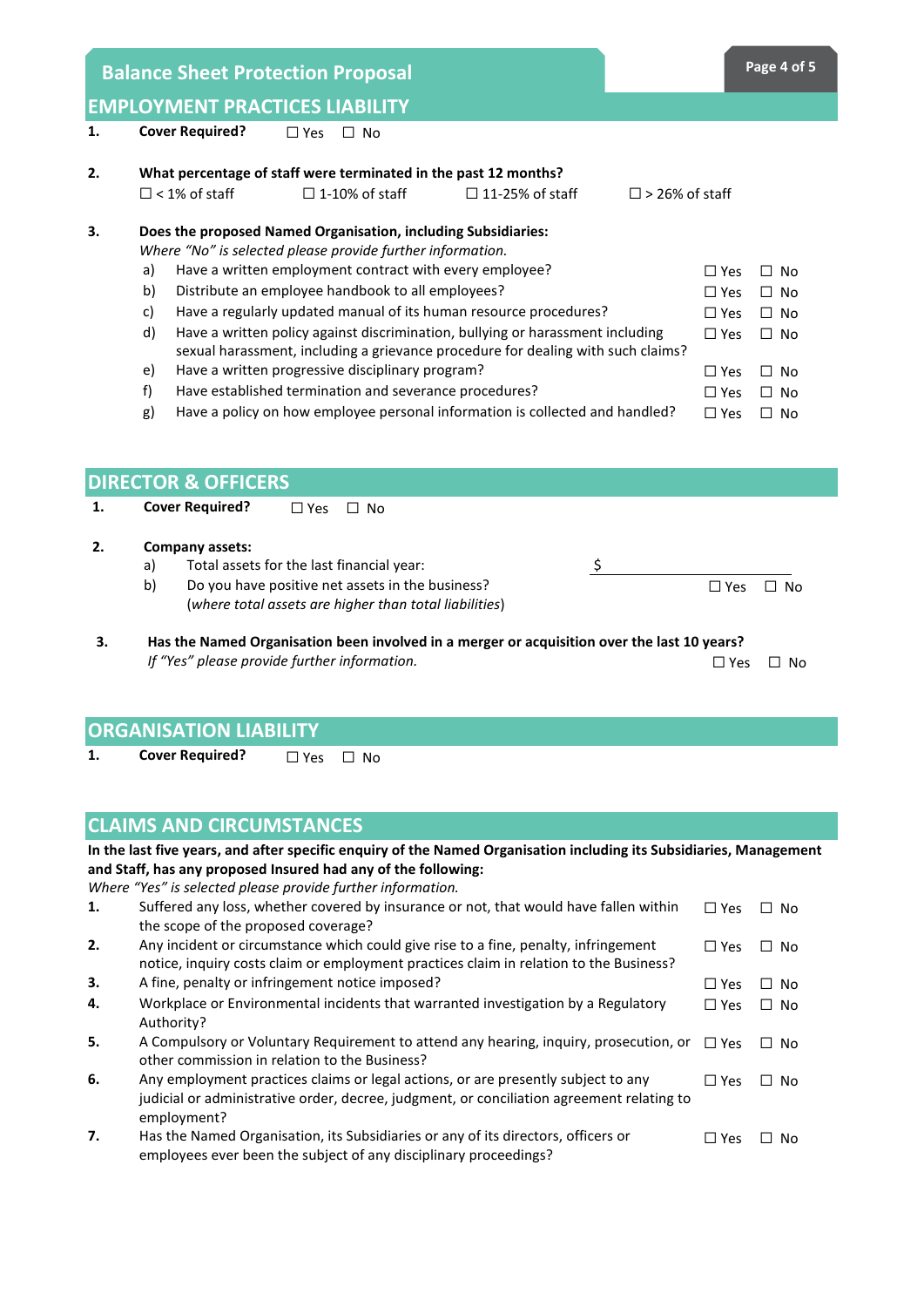**Balance Sheet Protection Proposal <b>Page 4 Page 4** of 5

|  | <b>EMPLOYMENT PRACTICES LIABILITY</b> |
|--|---------------------------------------|
|  |                                       |

## **1. Cover Required?** ☐ Yes ☐ No

| 2. | What percentage of staff were terminated in the past 12 months? |                                                                                                                             |                                                         |                                                                                                                                                                    |                          |               |           |
|----|-----------------------------------------------------------------|-----------------------------------------------------------------------------------------------------------------------------|---------------------------------------------------------|--------------------------------------------------------------------------------------------------------------------------------------------------------------------|--------------------------|---------------|-----------|
|    |                                                                 | $\Box$ < 1% of staff                                                                                                        | $\Box$ 1-10% of staff                                   | $\Box$ 11-25% of staff                                                                                                                                             | $\square$ > 26% of staff |               |           |
| 3. |                                                                 | Does the proposed Named Organisation, including Subsidiaries:<br>Where "No" is selected please provide further information. |                                                         |                                                                                                                                                                    |                          |               |           |
|    | a)                                                              |                                                                                                                             | Have a written employment contract with every employee? |                                                                                                                                                                    |                          | $\Box$ Yes    | $\Box$ No |
|    | b)                                                              |                                                                                                                             | Distribute an employee handbook to all employees?       |                                                                                                                                                                    |                          | $\Box$ Yes    | $\Box$ No |
|    | c)                                                              |                                                                                                                             |                                                         | Have a regularly updated manual of its human resource procedures?                                                                                                  |                          | $\Box$ Yes    | $\Box$ No |
|    | d)                                                              |                                                                                                                             |                                                         | Have a written policy against discrimination, bullying or harassment including<br>sexual harassment, including a grievance procedure for dealing with such claims? |                          | $\Box$ Yes    | $\Box$ No |
|    | e)                                                              |                                                                                                                             | Have a written progressive disciplinary program?        |                                                                                                                                                                    |                          | $\Box$ Yes    | $\Box$ No |
|    | f                                                               |                                                                                                                             | Have established termination and severance procedures?  |                                                                                                                                                                    |                          | $\Box$ Yes    | $\Box$ No |
|    | g)                                                              |                                                                                                                             |                                                         | Have a policy on how employee personal information is collected and handled?                                                                                       |                          | $\Box$ Yes    | $\Box$ No |
|    |                                                                 |                                                                                                                             |                                                         |                                                                                                                                                                    |                          |               |           |
|    |                                                                 | <b>DIRECTOR &amp; OFFICERS</b>                                                                                              |                                                         |                                                                                                                                                                    |                          |               |           |
| 1. |                                                                 | <b>Cover Required?</b>                                                                                                      | $\square$ No<br>$\square$ Yes                           |                                                                                                                                                                    |                          |               |           |
| 2. |                                                                 | Company assets:                                                                                                             |                                                         |                                                                                                                                                                    |                          |               |           |
|    | a)                                                              |                                                                                                                             | Total assets for the last financial year:               |                                                                                                                                                                    | \$                       |               |           |
|    | b)                                                              |                                                                                                                             | Do you have positive net assets in the business?        |                                                                                                                                                                    |                          | $\Box$ Yes    | □ No      |
|    |                                                                 |                                                                                                                             | (where total assets are higher than total liabilities)  |                                                                                                                                                                    |                          |               |           |
| 3. |                                                                 |                                                                                                                             |                                                         | Has the Named Organisation been involved in a merger or acquisition over the last 10 years?                                                                        |                          |               |           |
|    |                                                                 |                                                                                                                             | If "Yes" please provide further information.            |                                                                                                                                                                    |                          | $\square$ Yes | $\Box$ No |
|    |                                                                 |                                                                                                                             |                                                         |                                                                                                                                                                    |                          |               |           |
|    |                                                                 |                                                                                                                             |                                                         |                                                                                                                                                                    |                          |               |           |

# **ORGANISATION LIABILITY**

**1. Cover Required?** ☐ Yes ☐ No

# **CLAIMS AND CIRCUMSTANCES**

**In the last five years, and after specific enquiry of the Named Organisation including its Subsidiaries, Management and Staff, has any proposed Insured had any of the following:**

*Where "Yes" is selected please provide further information.*

| 1. | Suffered any loss, whether covered by insurance or not, that would have fallen within<br>the scope of the proposed coverage?                                                                  | $\Box$ Yes | □ No                |
|----|-----------------------------------------------------------------------------------------------------------------------------------------------------------------------------------------------|------------|---------------------|
| 2. | Any incident or circumstance which could give rise to a fine, penalty, infringement<br>notice, inquiry costs claim or employment practices claim in relation to the Business?                 | $\Box$ Yes | No.<br>II.          |
| 3. | A fine, penalty or infringement notice imposed?                                                                                                                                               | $\Box$ Yes | $\Box$ No           |
| 4. | Workplace or Environmental incidents that warranted investigation by a Regulatory<br>Authority?                                                                                               | $\Box$ Yes | ⊟ No                |
| 5. | A Compulsory or Voluntary Requirement to attend any hearing, inquiry, prosecution, or<br>other commission in relation to the Business?                                                        | $\Box$ Yes | No.<br>$\mathsf{L}$ |
| 6. | Any employment practices claims or legal actions, or are presently subject to any<br>judicial or administrative order, decree, judgment, or conciliation agreement relating to<br>employment? | $\Box$ Yes | No.<br>$\mathsf{L}$ |
| 7. | Has the Named Organisation, its Subsidiaries or any of its directors, officers or<br>employees ever been the subject of any disciplinary proceedings?                                         | $\Box$ Yes | No.                 |